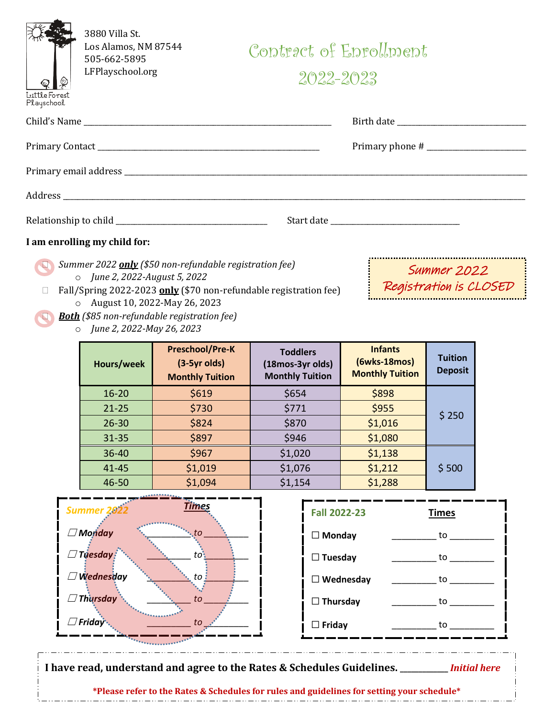|                                                                                                     | 3880 Villa St.<br>Los Alamos, NM 87544<br>505-662-5895 |                                                                                                                                                                                            | Contract of Enrollment                                        |                                                          |                                  |  |  |
|-----------------------------------------------------------------------------------------------------|--------------------------------------------------------|--------------------------------------------------------------------------------------------------------------------------------------------------------------------------------------------|---------------------------------------------------------------|----------------------------------------------------------|----------------------------------|--|--|
| Luttle Forest<br>Playschool                                                                         | LFPlayschool.org                                       |                                                                                                                                                                                            |                                                               | $2022 - 2023$                                            |                                  |  |  |
|                                                                                                     |                                                        |                                                                                                                                                                                            |                                                               |                                                          |                                  |  |  |
|                                                                                                     |                                                        |                                                                                                                                                                                            |                                                               |                                                          |                                  |  |  |
|                                                                                                     |                                                        |                                                                                                                                                                                            |                                                               |                                                          |                                  |  |  |
|                                                                                                     |                                                        |                                                                                                                                                                                            |                                                               |                                                          |                                  |  |  |
|                                                                                                     |                                                        |                                                                                                                                                                                            |                                                               |                                                          |                                  |  |  |
|                                                                                                     | I am enrolling my child for:                           |                                                                                                                                                                                            |                                                               |                                                          |                                  |  |  |
| Summer 2022 <b>only</b> (\$50 non-refundable registration fee)<br>o June 2, 2022-August 5, 2022     |                                                        |                                                                                                                                                                                            |                                                               |                                                          | Summer 2022                      |  |  |
| Fall/Spring 2022-2023 only (\$70 non-refundable registration fee)<br>O August 10, 2022-May 26, 2023 |                                                        |                                                                                                                                                                                            |                                                               |                                                          | Registration is CLOSED           |  |  |
|                                                                                                     | o June 2, 2022-May 26, 2023                            | <b>Both</b> (\$85 non-refundable registration fee)                                                                                                                                         |                                                               |                                                          |                                  |  |  |
|                                                                                                     | Hours/week                                             | <b>Preschool/Pre-K</b><br>$(3-5yr$ olds)<br><b>Monthly Tuition</b>                                                                                                                         | <b>Toddlers</b><br>(18mos-3yr olds)<br><b>Monthly Tuition</b> | <b>Infants</b><br>(6wks-18mos)<br><b>Monthly Tuition</b> | <b>Tuition</b><br><b>Deposit</b> |  |  |
|                                                                                                     | $16 - 20$                                              | \$619                                                                                                                                                                                      | \$654                                                         | \$898                                                    |                                  |  |  |
|                                                                                                     | $21 - 25$                                              | \$730                                                                                                                                                                                      | \$771                                                         | \$955                                                    | \$250                            |  |  |
|                                                                                                     | $26 - 30$                                              | \$824                                                                                                                                                                                      | \$870                                                         | \$1,016                                                  |                                  |  |  |
|                                                                                                     | $31 - 35$                                              | \$897                                                                                                                                                                                      | \$946                                                         | \$1,080                                                  |                                  |  |  |
|                                                                                                     | $36 - 40$                                              | \$967                                                                                                                                                                                      | \$1,020                                                       | \$1,138                                                  |                                  |  |  |
|                                                                                                     | 41-45<br>46-50                                         | \$1,019<br>\$1,094                                                                                                                                                                         | \$1,076<br>\$1,154                                            | \$1,212<br>\$1,288                                       | \$500                            |  |  |
|                                                                                                     |                                                        |                                                                                                                                                                                            |                                                               |                                                          |                                  |  |  |
|                                                                                                     | <b>Summer 26</b>                                       | <u>Times</u>                                                                                                                                                                               |                                                               | <b>Fall 2022-23</b>                                      | <b>Times</b>                     |  |  |
| $\Box$ Monday                                                                                       |                                                        |                                                                                                                                                                                            |                                                               | $\Box$ Monday                                            |                                  |  |  |
| $\Box$ Tuesday<br>$to$ :                                                                            |                                                        |                                                                                                                                                                                            | $\Box$ Tuesday                                                |                                                          | to                               |  |  |
| $\Box$ Wednesday<br>to i                                                                            |                                                        |                                                                                                                                                                                            |                                                               | $\Box$ Wednesday                                         |                                  |  |  |
| $\Box$ Thursday<br>to                                                                               |                                                        |                                                                                                                                                                                            | $\Box$ Thursday                                               |                                                          | to                               |  |  |
| $\Box$ Friday<br>to                                                                                 |                                                        |                                                                                                                                                                                            | $\Box$ Friday                                                 |                                                          | to                               |  |  |
|                                                                                                     |                                                        | I have read, understand and agree to the Rates & Schedules Guidelines. ________ Initial here<br>*Please refer to the Rates & Schedules for rules and guidelines for setting your schedule* |                                                               |                                                          |                                  |  |  |